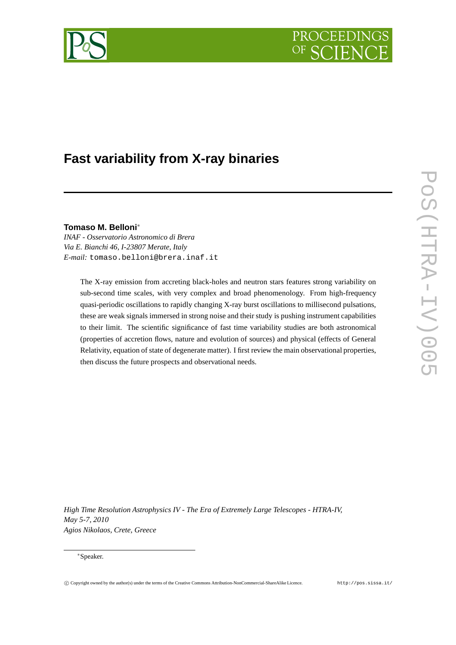# PROCEEDIN



# **Fast variability from X-ray binaries**

**Tomaso M. Belloni**<sup>∗</sup>

*INAF - Osservatorio Astronomico di Brera Via E. Bianchi 46, I-23807 Merate, Italy E-mail:* tomaso.belloni@brera.inaf.it

> The X-ray emission from accreting black-holes and neutron stars features strong variability on sub-second time scales, with very complex and broad phenomenology. From high-frequency quasi-periodic oscillations to rapidly changing X-ray burst oscillations to millisecond pulsations, these are weak signals immersed in strong noise and their study is pushing instrument capabilities to their limit. The scientific significance of fast time variability studies are both astronomical (properties of accretion flows, nature and evolution of sources) and physical (effects of General Relativity, equation of state of degenerate matter). I first review the main observational properties, then discuss the future prospects and observational needs.

*High Time Resolution Astrophysics IV - The Era of Extremely Large Telescopes - HTRA-IV, May 5-7, 2010 Agios Nikolaos, Crete, Greece*

<sup>∗</sup>Speaker.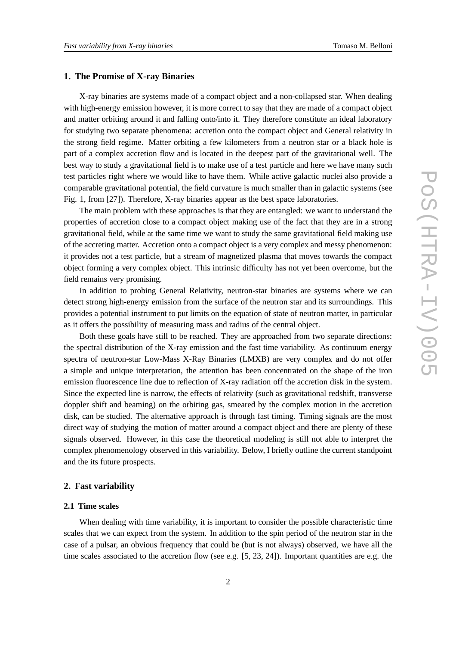### **1. The Promise of X-ray Binaries**

X-ray binaries are systems made of a compact object and a non-collapsed star. When dealing with high-energy emission however, it is more correct to say that they are made of a compact object and matter orbiting around it and falling onto/into it. They therefore constitute an ideal laboratory for studying two separate phenomena: accretion onto the compact object and General relativity in the strong field regime. Matter orbiting a few kilometers from a neutron star or a black hole is part of a complex accretion flow and is located in the deepest part of the gravitational well. The best way to study a gravitational field is to make use of a test particle and here we have many such test particles right where we would like to have them. While active galactic nuclei also provide a comparable gravitational potential, the field curvature is much smaller than in galactic systems (see Fig. 1, from [27]). Therefore, X-ray binaries appear as the best space laboratories.

The main problem with these approaches is that they are entangled: we want to understand the properties of accretion close to a compact object making use of the fact that they are in a strong gravitational field, while at the same time we want to study the same gravitational field making use of the accreting matter. Accretion onto a compact object is a very complex and messy phenomenon: it provides not a test particle, but a stream of magnetized plasma that moves towards the compact object forming a very complex object. This intrinsic difficulty has not yet been overcome, but the field remains very promising.

In addition to probing General Relativity, neutron-star binaries are systems where we can detect strong high-energy emission from the surface of the neutron star and its surroundings. This provides a potential instrument to put limits on the equation of state of neutron matter, in particular as it offers the possibility of measuring mass and radius of the central object.

Both these goals have still to be reached. They are approached from two separate directions: the spectral distribution of the X-ray emission and the fast time variability. As continuum energy spectra of neutron-star Low-Mass X-Ray Binaries (LMXB) are very complex and do not offer a simple and unique interpretation, the attention has been concentrated on the shape of the iron emission fluorescence line due to reflection of X-ray radiation off the accretion disk in the system. Since the expected line is narrow, the effects of relativity (such as gravitational redshift, transverse doppler shift and beaming) on the orbiting gas, smeared by the complex motion in the accretion disk, can be studied. The alternative approach is through fast timing. Timing signals are the most direct way of studying the motion of matter around a compact object and there are plenty of these signals observed. However, in this case the theoretical modeling is still not able to interpret the complex phenomenology observed in this variability. Below, I briefly outline the current standpoint and the its future prospects.

#### **2. Fast variability**

#### **2.1 Time scales**

When dealing with time variability, it is important to consider the possible characteristic time scales that we can expect from the system. In addition to the spin period of the neutron star in the case of a pulsar, an obvious frequency that could be (but is not always) observed, we have all the time scales associated to the accretion flow (see e.g. [5, 23, 24]). Important quantities are e.g. the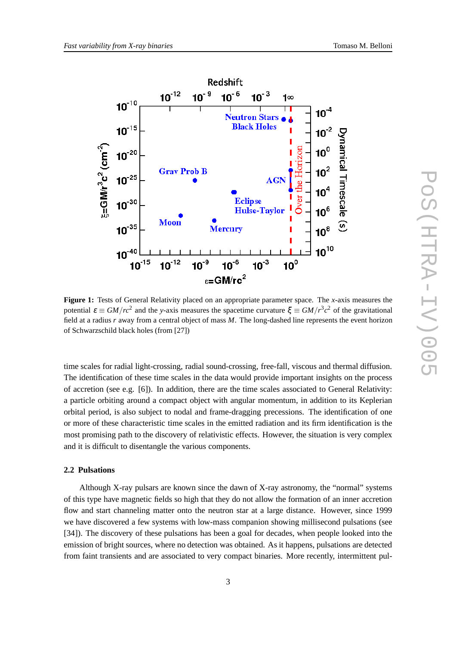

**Figure 1:** Tests of General Relativity placed on an appropriate parameter space. The *x*-axis measures the potential  $\varepsilon \equiv GM/rc^2$  and the *y*-axis measures the spacetime curvature  $\xi \equiv GM/r^3c^2$  of the gravitational field at a radius *r* away from a central object of mass *M*. The long-dashed line represents the event horizon of Schwarzschild black holes (from [27])

time scales for radial light-crossing, radial sound-crossing, free-fall, viscous and thermal diffusion. The identification of these time scales in the data would provide important insights on the process of accretion (see e.g. [6]). In addition, there are the time scales associated to General Relativity: a particle orbiting around a compact object with angular momentum, in addition to its Keplerian orbital period, is also subject to nodal and frame-dragging precessions. The identification of one or more of these characteristic time scales in the emitted radiation and its firm identification is the most promising path to the discovery of relativistic effects. However, the situation is very complex and it is difficult to disentangle the various components.

# **2.2 Pulsations**

Although X-ray pulsars are known since the dawn of X-ray astronomy, the "normal" systems of this type have magnetic fields so high that they do not allow the formation of an inner accretion flow and start channeling matter onto the neutron star at a large distance. However, since 1999 we have discovered a few systems with low-mass companion showing millisecond pulsations (see [34]). The discovery of these pulsations has been a goal for decades, when people looked into the emission of bright sources, where no detection was obtained. As it happens, pulsations are detected from faint transients and are associated to very compact binaries. More recently, intermittent pul-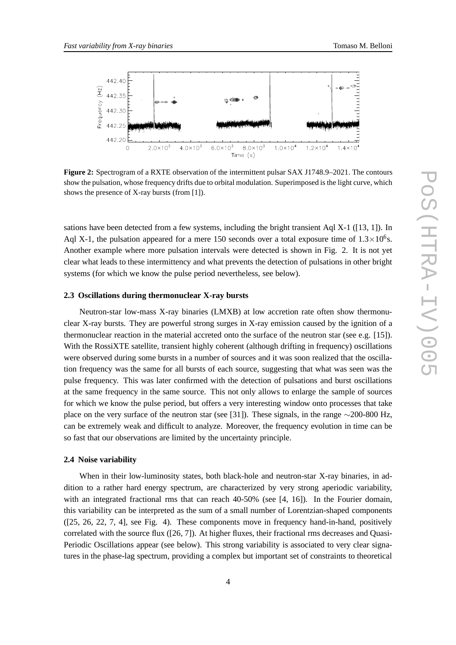

**Figure 2:** Spectrogram of a RXTE observation of the intermittent pulsar SAX J1748.9–2021. The contours show the pulsation, whose frequency drifts due to orbital modulation. Superimposed is the light curve, which shows the presence of X-ray bursts (from [1]).

sations have been detected from a few systems, including the bright transient Aql X-1 ([13, 1]). In Aql X-1, the pulsation appeared for a mere 150 seconds over a total exposure time of  $1.3 \times 10^6$ s. Another example where more pulsation intervals were detected is shown in Fig. 2. It is not yet clear what leads to these intermittency and what prevents the detection of pulsations in other bright systems (for which we know the pulse period nevertheless, see below).

# **2.3 Oscillations during thermonuclear X-ray bursts**

Neutron-star low-mass X-ray binaries (LMXB) at low accretion rate often show thermonuclear X-ray bursts. They are powerful strong surges in X-ray emission caused by the ignition of a thermonuclear reaction in the material accreted onto the surface of the neutron star (see e.g. [15]). With the RossiXTE satellite, transient highly coherent (although drifting in frequency) oscillations were observed during some bursts in a number of sources and it was soon realized that the oscillation frequency was the same for all bursts of each source, suggesting that what was seen was the pulse frequency. This was later confirmed with the detection of pulsations and burst oscillations at the same frequency in the same source. This not only allows to enlarge the sample of sources for which we know the pulse period, but offers a very interesting window onto processes that take place on the very surface of the neutron star (see [31]). These signals, in the range ∼200-800 Hz, can be extremely weak and difficult to analyze. Moreover, the frequency evolution in time can be so fast that our observations are limited by the uncertainty principle.

#### **2.4 Noise variability**

When in their low-luminosity states, both black-hole and neutron-star X-ray binaries, in addition to a rather hard energy spectrum, are characterized by very strong aperiodic variability, with an integrated fractional rms that can reach 40-50% (see [4, 16]). In the Fourier domain, this variability can be interpreted as the sum of a small number of Lorentzian-shaped components ([25, 26, 22, 7, 4], see Fig. 4). These components move in frequency hand-in-hand, positively correlated with the source flux ([26, 7]). At higher fluxes, their fractional rms decreases and Quasi-Periodic Oscillations appear (see below). This strong variability is associated to very clear signatures in the phase-lag spectrum, providing a complex but important set of constraints to theoretical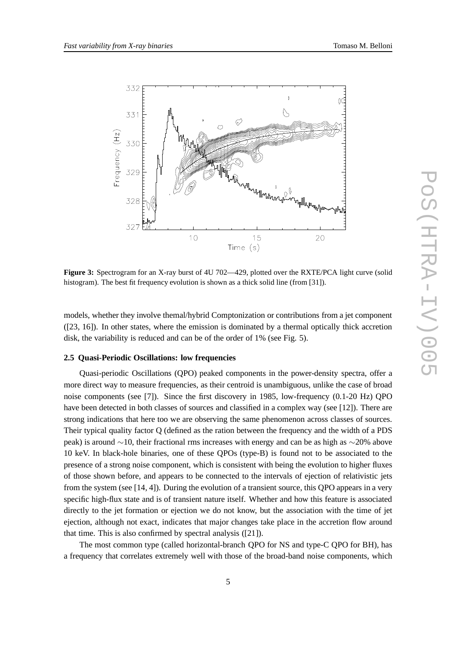

**Figure 3:** Spectrogram for an X-ray burst of 4U 702—429, plotted over the RXTE/PCA light curve (solid histogram). The best fit frequency evolution is shown as a thick solid line (from [31]).

models, whether they involve themal/hybrid Comptonization or contributions from a jet component ([23, 16]). In other states, where the emission is dominated by a thermal optically thick accretion disk, the variability is reduced and can be of the order of 1% (see Fig. 5).

## **2.5 Quasi-Periodic Oscillations: low frequencies**

Quasi-periodic Oscillations (QPO) peaked components in the power-density spectra, offer a more direct way to measure frequencies, as their centroid is unambiguous, unlike the case of broad noise components (see [7]). Since the first discovery in 1985, low-frequency (0.1-20 Hz) QPO have been detected in both classes of sources and classified in a complex way (see [12]). There are strong indications that here too we are observing the same phenomenon across classes of sources. Their typical quality factor Q (defined as the ration between the frequency and the width of a PDS peak) is around ∼10, their fractional rms increases with energy and can be as high as ∼20% above 10 keV. In black-hole binaries, one of these QPOs (type-B) is found not to be associated to the presence of a strong noise component, which is consistent with being the evolution to higher fluxes of those shown before, and appears to be connected to the intervals of ejection of relativistic jets from the system (see [14, 4]). During the evolution of a transient source, this QPO appears in a very specific high-flux state and is of transient nature itself. Whether and how this feature is associated directly to the jet formation or ejection we do not know, but the association with the time of jet ejection, although not exact, indicates that major changes take place in the accretion flow around that time. This is also confirmed by spectral analysis ([21]).

The most common type (called horizontal-branch QPO for NS and type-C QPO for BH), has a frequency that correlates extremely well with those of the broad-band noise components, which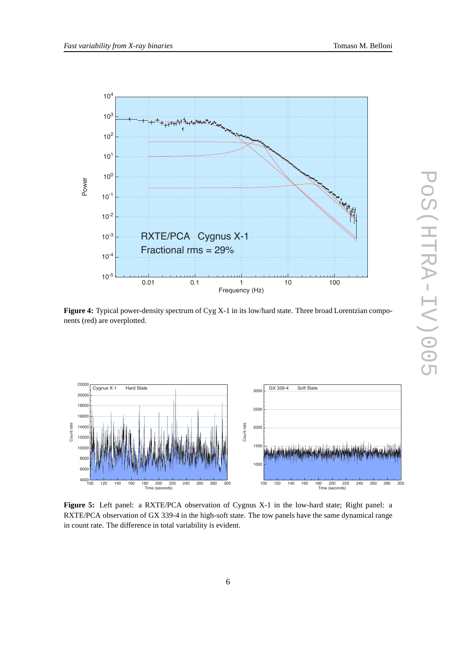



Figure 4: Typical power-density spectrum of Cyg X-1 in its low/hard state. Three broad Lorentzian components (red) are overplotted.



**Figure 5:** Left panel: a RXTE/PCA observation of Cygnus X-1 in the low-hard state; Right panel: a RXTE/PCA observation of GX 339-4 in the high-soft state. The tow panels have the same dynamical range in count rate. The difference in total variability is evident.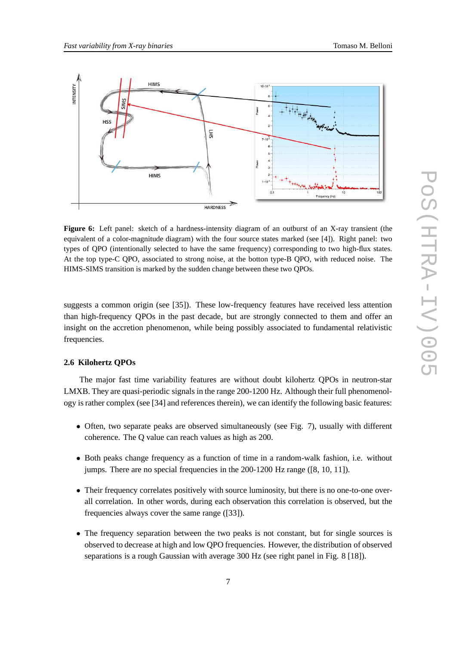

**Figure 6:** Left panel: sketch of a hardness-intensity diagram of an outburst of an X-ray transient (the equivalent of a color-magnitude diagram) with the four source states marked (see [4]). Right panel: two types of QPO (intentionally selected to have the same frequency) corresponding to two high-flux states. At the top type-C QPO, associated to strong noise, at the botton type-B QPO, with reduced noise. The HIMS-SIMS transition is marked by the sudden change between these two QPOs.

suggests a common origin (see [35]). These low-frequency features have received less attention than high-frequency QPOs in the past decade, but are strongly connected to them and offer an insight on the accretion phenomenon, while being possibly associated to fundamental relativistic frequencies.

# **2.6 Kilohertz QPOs**

The major fast time variability features are without doubt kilohertz QPOs in neutron-star LMXB. They are quasi-periodic signals in the range 200-1200 Hz. Although their full phenomenology is rather complex (see [34] and references therein), we can identify the following basic features:

- Often, two separate peaks are observed simultaneously (see Fig. 7), usually with different coherence. The Q value can reach values as high as 200.
- Both peaks change frequency as a function of time in a random-walk fashion, i.e. without jumps. There are no special frequencies in the 200-1200 Hz range ([8, 10, 11]).
- Their frequency correlates positively with source luminosity, but there is no one-to-one overall correlation. In other words, during each observation this correlation is observed, but the frequencies always cover the same range ([33]).
- The frequency separation between the two peaks is not constant, but for single sources is observed to decrease at high and low QPO frequencies. However, the distribution of observed separations is a rough Gaussian with average 300 Hz (see right panel in Fig. 8 [18]).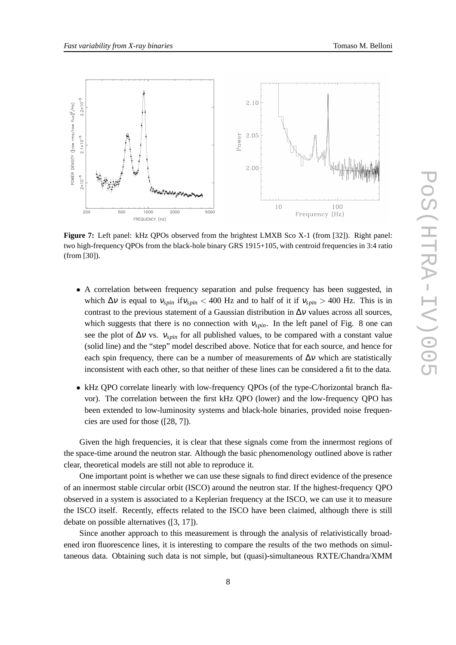

**Figure 7:** Left panel: kHz QPOs observed from the brightest LMXB Sco X-1 (from [32]). Right panel: two high-frequency QPOs from the black-hole binary GRS 1915+105, with centroid frequencies in 3:4 ratio (from [30]).

- A correlation between frequency separation and pulse frequency has been suggested, in which  $\Delta v$  is equal to  $v_{spin}$  if  $v_{spin}$  < 400 Hz and to half of it if  $v_{spin}$  > 400 Hz. This is in contrast to the previous statement of a Gaussian distribution in  $\Delta v$  values across all sources, which suggests that there is no connection with  $v_{spin}$ . In the left panel of Fig. 8 one can see the plot of  $\Delta v$  vs.  $v_{spin}$  for all published values, to be compared with a constant value (solid line) and the "step" model described above. Notice that for each source, and hence for each spin frequency, there can be a number of measurements of  $\Delta v$  which are statistically inconsistent with each other, so that neither of these lines can be considered a fit to the data.
- kHz QPO correlate linearly with low-frequency QPOs (of the type-C/horizontal branch flavor). The correlation between the first kHz QPO (lower) and the low-frequency QPO has been extended to low-luminosity systems and black-hole binaries, provided noise frequencies are used for those ([28, 7]).

Given the high frequencies, it is clear that these signals come from the innermost regions of the space-time around the neutron star. Although the basic phenomenology outlined above is rather clear, theoretical models are still not able to reproduce it.

One important point is whether we can use these signals to find direct evidence of the presence of an innermost stable circular orbit (ISCO) around the neutron star. If the highest-frequency QPO observed in a system is associated to a Keplerian frequency at the ISCO, we can use it to measure the ISCO itself. Recently, effects related to the ISCO have been claimed, although there is still debate on possible alternatives ([3, 17]).

Since another approach to this measurement is through the analysis of relativistically broadened iron fluorescence lines, it is interesting to compare the results of the two methods on simultaneous data. Obtaining such data is not simple, but (quasi)-simultaneous RXTE/Chandra/XMM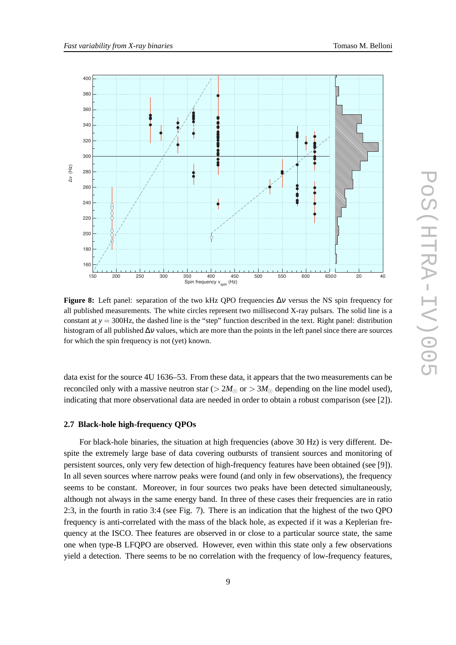

**Figure 8:** Left panel: separation of the two kHz QPO frequencies ∆<sup>ν</sup> versus the NS spin frequency for all published measurements. The white circles represent two millisecond X-ray pulsars. The solid line is a constant at *y* = 300Hz, the dashed line is the "step" function described in the text. Right panel: distribution histogram of all published  $\Delta v$  values, which are more than the points in the left panel since there are sources for which the spin frequency is not (yet) known.

data exist for the source 4U 1636–53. From these data, it appears that the two measurements can be reconciled only with a massive neutron star ( $> 2M_{\odot}$  or  $> 3M_{\odot}$  depending on the line model used), indicating that more observational data are needed in order to obtain a robust comparison (see [2]).

# **2.7 Black-hole high-frequency QPOs**

For black-hole binaries, the situation at high frequencies (above 30 Hz) is very different. Despite the extremely large base of data covering outbursts of transient sources and monitoring of persistent sources, only very few detection of high-frequency features have been obtained (see [9]). In all seven sources where narrow peaks were found (and only in few observations), the frequency seems to be constant. Moreover, in four sources two peaks have been detected simultaneously, although not always in the same energy band. In three of these cases their frequencies are in ratio 2:3, in the fourth in ratio 3:4 (see Fig. 7). There is an indication that the highest of the two QPO frequency is anti-correlated with the mass of the black hole, as expected if it was a Keplerian frequency at the ISCO. Thee features are observed in or close to a particular source state, the same one when type-B LFQPO are observed. However, even within this state only a few observations yield a detection. There seems to be no correlation with the frequency of low-frequency features,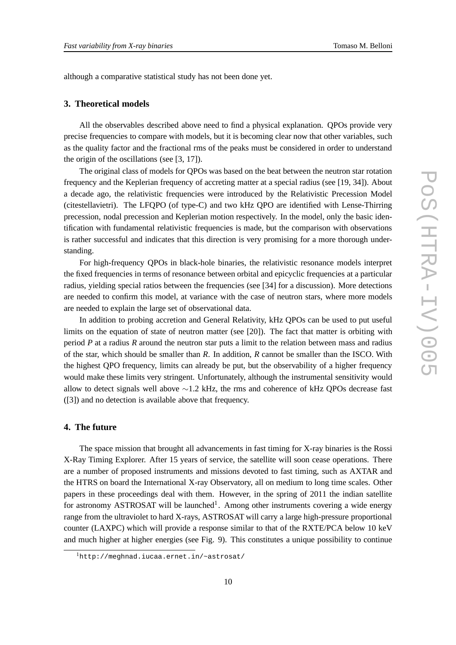although a comparative statistical study has not been done yet.

# **3. Theoretical models**

All the observables described above need to find a physical explanation. QPOs provide very precise frequencies to compare with models, but it is becoming clear now that other variables, such as the quality factor and the fractional rms of the peaks must be considered in order to understand the origin of the oscillations (see [3, 17]).

The original class of models for QPOs was based on the beat between the neutron star rotation frequency and the Keplerian frequency of accreting matter at a special radius (see [19, 34]). About a decade ago, the relativistic frequencies were introduced by the Relativistic Precession Model (citestellavietri). The LFQPO (of type-C) and two kHz QPO are identified with Lense-Thirring precession, nodal precession and Keplerian motion respectively. In the model, only the basic identification with fundamental relativistic frequencies is made, but the comparison with observations is rather successful and indicates that this direction is very promising for a more thorough understanding.

For high-frequency QPOs in black-hole binaries, the relativistic resonance models interpret the fixed frequencies in terms of resonance between orbital and epicyclic frequencies at a particular radius, yielding special ratios between the frequencies (see [34] for a discussion). More detections are needed to confirm this model, at variance with the case of neutron stars, where more models are needed to explain the large set of observational data.

In addition to probing accretion and General Relativity, kHz QPOs can be used to put useful limits on the equation of state of neutron matter (see [20]). The fact that matter is orbiting with period *P* at a radius *R* around the neutron star puts a limit to the relation between mass and radius of the star, which should be smaller than *R*. In addition, *R* cannot be smaller than the ISCO. With the highest QPO frequency, limits can already be put, but the observability of a higher frequency would make these limits very stringent. Unfortunately, although the instrumental sensitivity would allow to detect signals well above  $\sim$ 1.2 kHz, the rms and coherence of kHz QPOs decrease fast ([3]) and no detection is available above that frequency.

# **4. The future**

The space mission that brought all advancements in fast timing for X-ray binaries is the Rossi X-Ray Timing Explorer. After 15 years of service, the satellite will soon cease operations. There are a number of proposed instruments and missions devoted to fast timing, such as AXTAR and the HTRS on board the International X-ray Observatory, all on medium to long time scales. Other papers in these proceedings deal with them. However, in the spring of 2011 the indian satellite for astronomy ASTROSAT will be launched<sup>1</sup>. Among other instruments covering a wide energy range from the ultraviolet to hard X-rays, ASTROSAT will carry a large high-pressure proportional counter (LAXPC) which will provide a response similar to that of the RXTE/PCA below 10 keV and much higher at higher energies (see Fig. 9). This constitutes a unique possibility to continue

<sup>1</sup>http://meghnad.iucaa.ernet.in/~astrosat/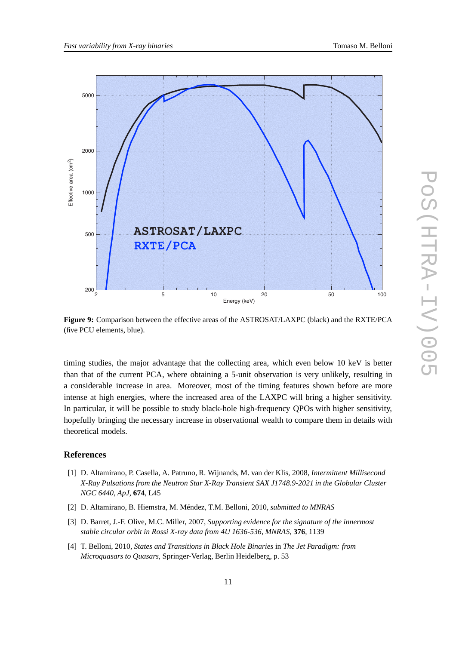

**Figure 9:** Comparison between the effective areas of the ASTROSAT/LAXPC (black) and the RXTE/PCA (five PCU elements, blue).

timing studies, the major advantage that the collecting area, which even below 10 keV is better than that of the current PCA, where obtaining a 5-unit observation is very unlikely, resulting in a considerable increase in area. Moreover, most of the timing features shown before are more intense at high energies, where the increased area of the LAXPC will bring a higher sensitivity. In particular, it will be possible to study black-hole high-frequency QPOs with higher sensitivity, hopefully bringing the necessary increase in observational wealth to compare them in details with theoretical models.

### **References**

- [1] D. Altamirano, P. Casella, A. Patruno, R. Wijnands, M. van der Klis, 2008, *Intermittent Millisecond X-Ray Pulsations from the Neutron Star X-Ray Transient SAX J1748.9-2021 in the Globular Cluster NGC 6440*, *ApJ*, **674**, L45
- [2] D. Altamirano, B. Hiemstra, M. Méndez, T.M. Belloni, 2010, *submitted to MNRAS*
- [3] D. Barret, J.-F. Olive, M.C. Miller, 2007, *Supporting evidence for the signature of the innermost stable circular orbit in Rossi X-ray data from 4U 1636-536*, *MNRAS*, **376**, 1139
- [4] T. Belloni, 2010, *States and Transitions in Black Hole Binaries* in *The Jet Paradigm: from Microquasars to Quasars*, Springer-Verlag, Berlin Heidelberg, p. 53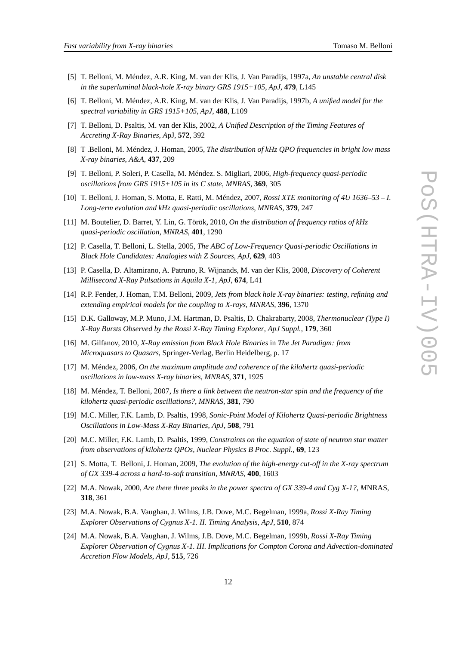- [5] T. Belloni, M. Méndez, A.R. King, M. van der Klis, J. Van Paradijs, 1997a, *An unstable central disk in the superluminal black-hole X-ray binary GRS 1915+105*, *ApJ*, **479**, L145
- [6] T. Belloni, M. Méndez, A.R. King, M. van der Klis, J. Van Paradijs, 1997b, *A unified model for the spectral variability in GRS 1915+105*, *ApJ*, **488**, L109
- [7] T. Belloni, D. Psaltis, M. van der Klis, 2002, *A Unified Description of the Timing Features of Accreting X-Ray Binaries*, *A*pJ, **572**, 392
- [8] T .Belloni, M. Méndez, J. Homan, 2005, *The distribution of kHz QPO frequencies in bright low mass X-ray binaries*, *A&A*, **437**, 209
- [9] T. Belloni, P. Soleri, P. Casella, M. Méndez. S. Migliari, 2006, *High-frequency quasi-periodic oscillations from GRS 1915+105 in its C state*, *MNRAS*, **369**, 305
- [10] T. Belloni, J. Homan, S. Motta, E. Ratti, M. Méndez, 2007, *Rossi XTE monitoring of 4U 1636–53 I. Long-term evolution and kHz quasi-periodic oscillations*, *MNRAS*, **379**, 247
- [11] M. Boutelier, D. Barret, Y. Lin, G. Török, 2010, *On the distribution of frequency ratios of kHz quasi-periodic oscillation*, *MNRAS*, **401**, 1290
- [12] P. Casella, T. Belloni, L. Stella, 2005, *The ABC of Low-Frequency Quasi-periodic Oscillations in Black Hole Candidates: Analogies with Z Sources*, *ApJ*, **629**, 403
- [13] P. Casella, D. Altamirano, A. Patruno, R. Wijnands, M. van der Klis, 2008, *Discovery of Coherent Millisecond X-Ray Pulsations in Aquila X-1*, *ApJ*, **674**, L41
- [14] R.P. Fender, J. Homan, T.M. Belloni, 2009, *Jets from black hole X-ray binaries: testing, refining and extending empirical models for the coupling to X-rays*, *MNRAS*, **396**, 1370
- [15] D.K. Galloway, M.P. Muno, J.M. Hartman, D. Psaltis, D. Chakrabarty, 2008, *Thermonuclear (Type I) X-Ray Bursts Observed by the Rossi X-Ray Timing Explorer*, *ApJ Suppl.*, **179**, 360
- [16] M. Gilfanov, 2010, *X-Ray emission from Black Hole Binaries* in *The Jet Paradigm: from Microquasars to Quasars*, Springer-Verlag, Berlin Heidelberg, p. 17
- [17] M. Méndez, 2006, *On the maximum amplitude and coherence of the kilohertz quasi-periodic oscillations in low-mass X-ray binaries*, *MNRAS*, **371**, 1925
- [18] M. Méndez, T. Belloni, 2007, *Is there a link between the neutron-star spin and the frequency of the kilohertz quasi-periodic oscillations?*, *MNRAS*, **381**, 790
- [19] M.C. Miller, F.K. Lamb, D. Psaltis, 1998, *Sonic-Point Model of Kilohertz Quasi-periodic Brightness Oscillations in Low-Mass X-Ray Binaries*, *ApJ*, **508**, 791
- [20] M.C. Miller, F.K. Lamb, D. Psaltis, 1999, *Constraints on the equation of state of neutron star matter from observations of kilohertz QPOs*, *Nuclear Physics B Proc. Suppl.*, **69**, 123
- [21] S. Motta, T. Belloni, J. Homan, 2009, *The evolution of the high-energy cut-off in the X-ray spectrum of GX 339-4 across a hard-to-soft transition*, *MNRAS*, **400**, 1603
- [22] M.A. Nowak, 2000, *Are there three peaks in the power spectra of GX 339-4 and Cyg X-1?*, *M*NRAS, **318**, 361
- [23] M.A. Nowak, B.A. Vaughan, J. Wilms, J.B. Dove, M.C. Begelman, 1999a, *Rossi X-Ray Timing Explorer Observations of Cygnus X-1. II. Timing Analysis*, *ApJ*, **510**, 874
- [24] M.A. Nowak, B.A. Vaughan, J. Wilms, J.B. Dove, M.C. Begelman, 1999b, *Rossi X-Ray Timing Explorer Observation of Cygnus X-1. III. Implications for Compton Corona and Advection-dominated Accretion Flow Models*, *ApJ*, **515**, 726